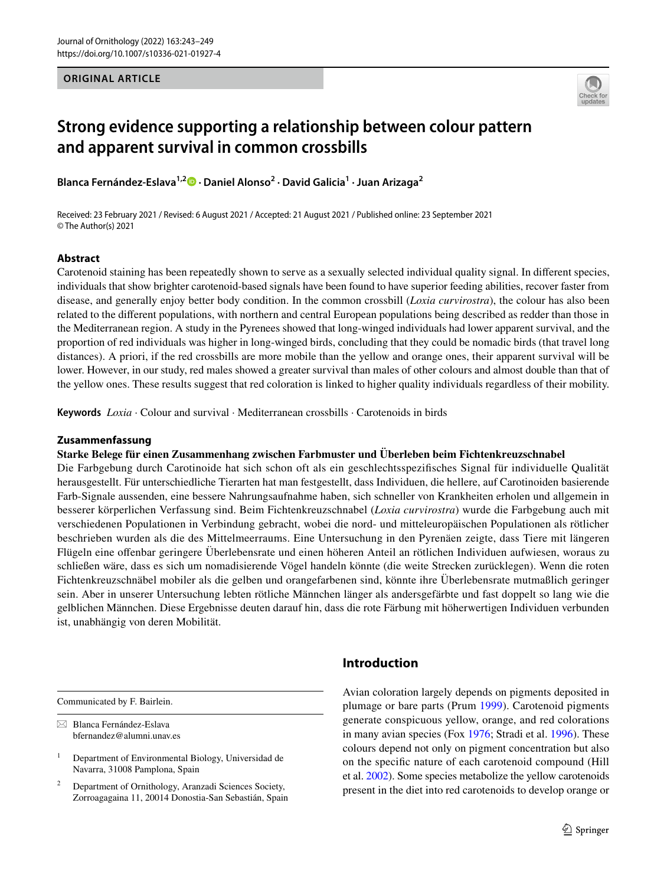### **ORIGINAL ARTICLE**



# **Strong evidence supporting a relationship between colour pattern and apparent survival in common crossbills**

**Blanca Fernández‑Eslava1,2 · Daniel Alonso2 · David Galicia1 · Juan Arizaga2**

Received: 23 February 2021 / Revised: 6 August 2021 / Accepted: 21 August 2021 / Published online: 23 September 2021 © The Author(s) 2021

### **Abstract**

Carotenoid staining has been repeatedly shown to serve as a sexually selected individual quality signal. In diferent species, individuals that show brighter carotenoid-based signals have been found to have superior feeding abilities, recover faster from disease, and generally enjoy better body condition. In the common crossbill (*Loxia curvirostra*), the colour has also been related to the diferent populations, with northern and central European populations being described as redder than those in the Mediterranean region. A study in the Pyrenees showed that long-winged individuals had lower apparent survival, and the proportion of red individuals was higher in long-winged birds, concluding that they could be nomadic birds (that travel long distances). A priori, if the red crossbills are more mobile than the yellow and orange ones, their apparent survival will be lower. However, in our study, red males showed a greater survival than males of other colours and almost double than that of the yellow ones. These results suggest that red coloration is linked to higher quality individuals regardless of their mobility.

**Keywords** *Loxia* · Colour and survival · Mediterranean crossbills · Carotenoids in birds

#### **Zusammenfassung**

#### **Starke Belege für einen Zusammenhang zwischen Farbmuster und Überleben beim Fichtenkreuzschnabel**

Die Farbgebung durch Carotinoide hat sich schon oft als ein geschlechtsspezifsches Signal für individuelle Qualität herausgestellt. Für unterschiedliche Tierarten hat man festgestellt, dass Individuen, die hellere, auf Carotinoiden basierende Farb-Signale aussenden, eine bessere Nahrungsaufnahme haben, sich schneller von Krankheiten erholen und allgemein in besserer körperlichen Verfassung sind. Beim Fichtenkreuzschnabel (*Loxia curvirostra*) wurde die Farbgebung auch mit verschiedenen Populationen in Verbindung gebracht, wobei die nord- und mitteleuropäischen Populationen als rötlicher beschrieben wurden als die des Mittelmeerraums. Eine Untersuchung in den Pyrenäen zeigte, dass Tiere mit längeren Flügeln eine ofenbar geringere Überlebensrate und einen höheren Anteil an rötlichen Individuen aufwiesen, woraus zu schließen wäre, dass es sich um nomadisierende Vögel handeln könnte (die weite Strecken zurücklegen). Wenn die roten Fichtenkreuzschnäbel mobiler als die gelben und orangefarbenen sind, könnte ihre Überlebensrate mutmaßlich geringer sein. Aber in unserer Untersuchung lebten rötliche Männchen länger als andersgefärbte und fast doppelt so lang wie die gelblichen Männchen. Diese Ergebnisse deuten darauf hin, dass die rote Färbung mit höherwertigen Individuen verbunden ist, unabhängig von deren Mobilität.

Communicated by F. Bairlein.

 $\boxtimes$  Blanca Fernández-Eslava bfernandez@alumni.unav.es

<sup>2</sup> Department of Ornithology, Aranzadi Sciences Society, Zorroagagaina 11, 20014 Donostia-San Sebastián, Spain

# **Introduction**

Avian coloration largely depends on pigments deposited in plumage or bare parts (Prum [1999\)](#page-6-0). Carotenoid pigments generate conspicuous yellow, orange, and red colorations in many avian species (Fox [1976](#page-6-1); Stradi et al. [1996\)](#page-6-2). These colours depend not only on pigment concentration but also on the specifc nature of each carotenoid compound (Hill et al. [2002\)](#page-6-3). Some species metabolize the yellow carotenoids present in the diet into red carotenoids to develop orange or

<sup>&</sup>lt;sup>1</sup> Department of Environmental Biology, Universidad de Navarra, 31008 Pamplona, Spain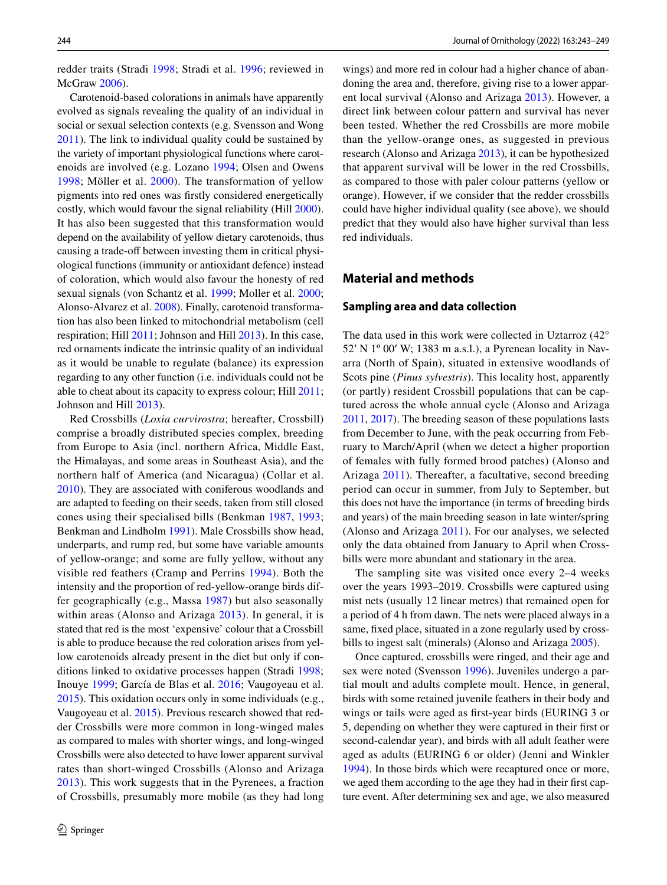redder traits (Stradi [1998;](#page-6-4) Stradi et al. [1996;](#page-6-2) reviewed in McGraw [2006](#page-6-5)).

Carotenoid-based colorations in animals have apparently evolved as signals revealing the quality of an individual in social or sexual selection contexts (e.g. Svensson and Wong [2011](#page-6-6)). The link to individual quality could be sustained by the variety of important physiological functions where carotenoids are involved (e.g. Lozano [1994](#page-6-7); Olsen and Owens [1998;](#page-6-8) Möller et al. [2000](#page-6-9)). The transformation of yellow pigments into red ones was frstly considered energetically costly, which would favour the signal reliability (Hill [2000](#page-6-10)). It has also been suggested that this transformation would depend on the availability of yellow dietary carotenoids, thus causing a trade-off between investing them in critical physiological functions (immunity or antioxidant defence) instead of coloration, which would also favour the honesty of red sexual signals (von Schantz et al. [1999](#page-6-11); Moller et al. [2000](#page-6-9); Alonso-Alvarez et al. [2008\)](#page-5-0). Finally, carotenoid transformation has also been linked to mitochondrial metabolism (cell respiration; Hill [2011;](#page-6-12) Johnson and Hill [2013](#page-6-13)). In this case, red ornaments indicate the intrinsic quality of an individual as it would be unable to regulate (balance) its expression regarding to any other function (i.e. individuals could not be able to cheat about its capacity to express colour; Hill [2011](#page-6-12); Johnson and Hill [2013\)](#page-6-13).

Red Crossbills (*Loxia curvirostra*; hereafter, Crossbill) comprise a broadly distributed species complex, breeding from Europe to Asia (incl. northern Africa, Middle East, the Himalayas, and some areas in Southeast Asia), and the northern half of America (and Nicaragua) (Collar et al. [2010](#page-5-1)). They are associated with coniferous woodlands and are adapted to feeding on their seeds, taken from still closed cones using their specialised bills (Benkman [1987](#page-5-2), [1993](#page-5-3); Benkman and Lindholm [1991\)](#page-5-4). Male Crossbills show head, underparts, and rump red, but some have variable amounts of yellow-orange; and some are fully yellow, without any visible red feathers (Cramp and Perrins [1994](#page-5-5)). Both the intensity and the proportion of red-yellow-orange birds differ geographically (e.g., Massa [1987\)](#page-6-14) but also seasonally within areas (Alonso and Arizaga [2013](#page-5-6)). In general, it is stated that red is the most 'expensive' colour that a Crossbill is able to produce because the red coloration arises from yellow carotenoids already present in the diet but only if conditions linked to oxidative processes happen (Stradi [1998](#page-6-4); Inouye [1999](#page-6-15); García de Blas et al. [2016](#page-6-16); Vaugoyeau et al. [2015](#page-6-17)). This oxidation occurs only in some individuals (e.g., Vaugoyeau et al. [2015](#page-6-17)). Previous research showed that redder Crossbills were more common in long-winged males as compared to males with shorter wings, and long-winged Crossbills were also detected to have lower apparent survival rates than short-winged Crossbills (Alonso and Arizaga [2013](#page-5-6)). This work suggests that in the Pyrenees, a fraction of Crossbills, presumably more mobile (as they had long wings) and more red in colour had a higher chance of abandoning the area and, therefore, giving rise to a lower apparent local survival (Alonso and Arizaga [2013](#page-5-6)). However, a direct link between colour pattern and survival has never been tested. Whether the red Crossbills are more mobile than the yellow-orange ones, as suggested in previous research (Alonso and Arizaga [2013](#page-5-6)), it can be hypothesized that apparent survival will be lower in the red Crossbills, as compared to those with paler colour patterns (yellow or orange). However, if we consider that the redder crossbills could have higher individual quality (see above), we should predict that they would also have higher survival than less red individuals.

## **Material and methods**

#### **Sampling area and data collection**

The data used in this work were collected in Uztarroz (42° 52ʹ N 1º 00ʹ W; 1383 m a.s.l.), a Pyrenean locality in Navarra (North of Spain), situated in extensive woodlands of Scots pine (*Pinus sylvestris*). This locality host, apparently (or partly) resident Crossbill populations that can be captured across the whole annual cycle (Alonso and Arizaga [2011](#page-5-7), [2017](#page-5-8)). The breeding season of these populations lasts from December to June, with the peak occurring from February to March/April (when we detect a higher proportion of females with fully formed brood patches) (Alonso and Arizaga [2011](#page-5-7)). Thereafter, a facultative, second breeding period can occur in summer, from July to September, but this does not have the importance (in terms of breeding birds and years) of the main breeding season in late winter/spring (Alonso and Arizaga [2011\)](#page-5-7). For our analyses, we selected only the data obtained from January to April when Crossbills were more abundant and stationary in the area.

The sampling site was visited once every 2–4 weeks over the years 1993–2019. Crossbills were captured using mist nets (usually 12 linear metres) that remained open for a period of 4 h from dawn. The nets were placed always in a same, fxed place, situated in a zone regularly used by crossbills to ingest salt (minerals) (Alonso and Arizaga [2005\)](#page-5-9).

Once captured, crossbills were ringed, and their age and sex were noted (Svensson [1996](#page-6-18)). Juveniles undergo a partial moult and adults complete moult. Hence, in general, birds with some retained juvenile feathers in their body and wings or tails were aged as frst-year birds (EURING 3 or 5, depending on whether they were captured in their frst or second-calendar year), and birds with all adult feather were aged as adults (EURING 6 or older) (Jenni and Winkler [1994](#page-6-19)). In those birds which were recaptured once or more, we aged them according to the age they had in their frst capture event. After determining sex and age, we also measured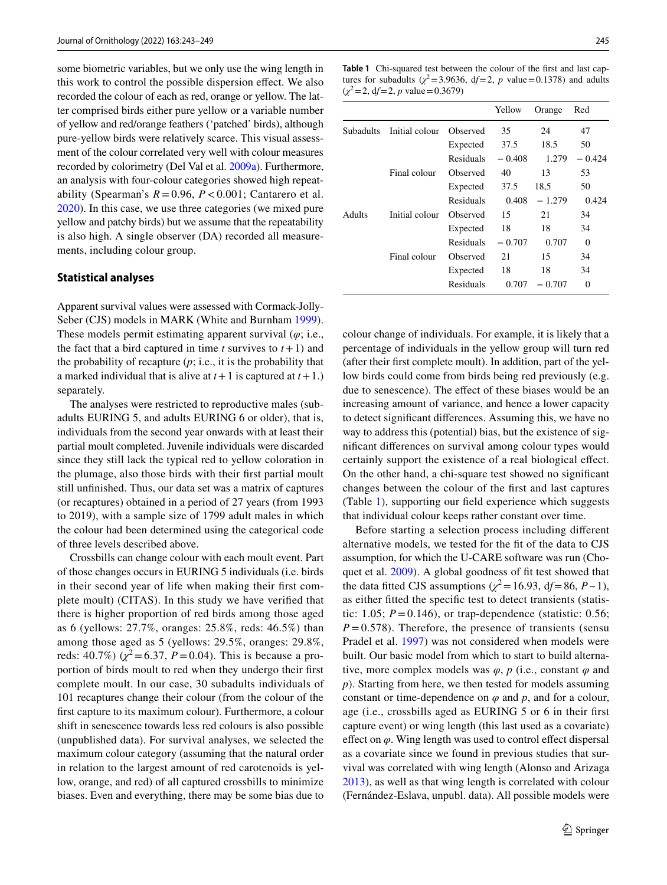some biometric variables, but we only use the wing length in this work to control the possible dispersion efect. We also recorded the colour of each as red, orange or yellow. The latter comprised birds either pure yellow or a variable number of yellow and red/orange feathers ('patched' birds), although pure-yellow birds were relatively scarce. This visual assessment of the colour correlated very well with colour measures recorded by colorimetry (Del Val et al. [2009a\)](#page-6-20). Furthermore, an analysis with four-colour categories showed high repeatability (Spearman's  $R = 0.96$ ,  $P < 0.001$ ; Cantarero et al. [2020](#page-5-10)). In this case, we use three categories (we mixed pure yellow and patchy birds) but we assume that the repeatability is also high. A single observer (DA) recorded all measurements, including colour group.

#### **Statistical analyses**

Apparent survival values were assessed with Cormack-Jolly-Seber (CJS) models in MARK (White and Burnham [1999](#page-6-21)). These models permit estimating apparent survival (*φ*; i.e., the fact that a bird captured in time  $t$  survives to  $t + 1$ ) and the probability of recapture (*p*; i.e., it is the probability that a marked individual that is alive at  $t+1$  is captured at  $t+1$ .) separately.

The analyses were restricted to reproductive males (subadults EURING 5, and adults EURING 6 or older), that is, individuals from the second year onwards with at least their partial moult completed. Juvenile individuals were discarded since they still lack the typical red to yellow coloration in the plumage, also those birds with their frst partial moult still unfnished. Thus, our data set was a matrix of captures (or recaptures) obtained in a period of 27 years (from 1993 to 2019), with a sample size of 1799 adult males in which the colour had been determined using the categorical code of three levels described above.

Crossbills can change colour with each moult event. Part of those changes occurs in EURING 5 individuals (i.e. birds in their second year of life when making their frst complete moult) (CITAS). In this study we have verifed that there is higher proportion of red birds among those aged as 6 (yellows: 27.7%, oranges: 25.8%, reds: 46.5%) than among those aged as 5 (yellows: 29.5%, oranges: 29.8%, reds: 40.7%) ( $\chi^2$ =6.37, *P* = 0.04). This is because a proportion of birds moult to red when they undergo their frst complete moult. In our case, 30 subadults individuals of 101 recaptures change their colour (from the colour of the frst capture to its maximum colour). Furthermore, a colour shift in senescence towards less red colours is also possible (unpublished data). For survival analyses, we selected the maximum colour category (assuming that the natural order in relation to the largest amount of red carotenoids is yellow, orange, and red) of all captured crossbills to minimize biases. Even and everything, there may be some bias due to

<span id="page-2-0"></span>**Table 1** Chi-squared test between the colour of the frst and last captures for subadults ( $\chi^2$ =3.9636, df=2, *p* value=0.1378) and adults  $(\chi^2 = 2, df = 2, p \text{ value} = 0.3679)$ 

|           |                |           | Yellow   | Orange   | Red      |
|-----------|----------------|-----------|----------|----------|----------|
| Subadults | Initial colour | Observed  | 35       | 24       | 47       |
|           |                | Expected  | 37.5     | 18.5     | 50       |
|           |                | Residuals | $-0.408$ | 1.279    | $-0.424$ |
|           | Final colour   | Observed  | 40       | 13       | 53       |
|           |                | Expected  | 37.5     | 18.5     | 50       |
|           |                | Residuals | 0.408    | $-1.279$ | 0.424    |
| Adults    | Initial colour | Observed  | 15       | 21       | 34       |
|           |                | Expected  | 18       | 18       | 34       |
|           |                | Residuals | $-0.707$ | 0.707    | $\Omega$ |
|           | Final colour   | Observed  | 21       | 15       | 34       |
|           |                | Expected  | 18       | 18       | 34       |
|           |                | Residuals | 0.707    | - 0.707  | $\Omega$ |

colour change of individuals. For example, it is likely that a percentage of individuals in the yellow group will turn red (after their frst complete moult). In addition, part of the yellow birds could come from birds being red previously (e.g. due to senescence). The effect of these biases would be an increasing amount of variance, and hence a lower capacity to detect signifcant diferences. Assuming this, we have no way to address this (potential) bias, but the existence of signifcant diferences on survival among colour types would certainly support the existence of a real biological efect. On the other hand, a chi-square test showed no signifcant changes between the colour of the frst and last captures (Table [1\)](#page-2-0), supporting our feld experience which suggests that individual colour keeps rather constant over time.

Before starting a selection process including diferent alternative models, we tested for the ft of the data to CJS assumption, for which the U-CARE software was run (Choquet et al. [2009](#page-5-11)). A global goodness of ft test showed that the data fitted CJS assumptions ( $\chi^2$  = 16.93, df = 86, *P* ~ 1), as either ftted the specifc test to detect transients (statistic: 1.05;  $P = 0.146$ ), or trap-dependence (statistic: 0.56;  $P = 0.578$ ). Therefore, the presence of transients (sensu Pradel et al. [1997\)](#page-6-22) was not considered when models were built. Our basic model from which to start to build alternative, more complex models was  $\varphi$ ,  $p$  (i.e., constant  $\varphi$  and *p*). Starting from here, we then tested for models assuming constant or time-dependence on  $\varphi$  and  $p$ , and for a colour, age (i.e., crossbills aged as EURING 5 or 6 in their frst capture event) or wing length (this last used as a covariate) effect on  $\varphi$ . Wing length was used to control effect dispersal as a covariate since we found in previous studies that survival was correlated with wing length (Alonso and Arizaga [2013](#page-5-6)), as well as that wing length is correlated with colour (Fernández-Eslava, unpubl. data). All possible models were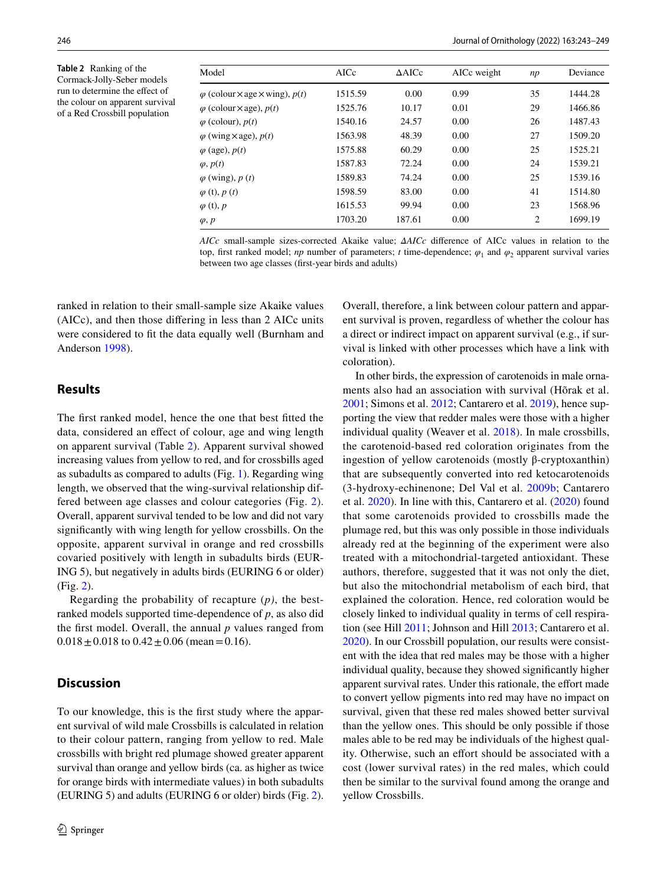<span id="page-3-0"></span>**Table 2** Ranking of the Cormack-Jolly-Seber models run to determine the efect of the colour on apparent survival of a Red Crossbill population

| Model                                                 | AICc    | $\triangle$ AICc | AICc weight | np             | Deviance |
|-------------------------------------------------------|---------|------------------|-------------|----------------|----------|
| $\varphi$ (colour $\times$ age $\times$ wing), $p(t)$ | 1515.59 | 0.00             | 0.99        | 35             | 1444.28  |
| $\varphi$ (colour $\times$ age), $p(t)$               | 1525.76 | 10.17            | 0.01        | 29             | 1466.86  |
| $\varphi$ (colour), $p(t)$                            | 1540.16 | 24.57            | 0.00        | 26             | 1487.43  |
| $\varphi$ (wing $\times$ age), $p(t)$                 | 1563.98 | 48.39            | 0.00        | 27             | 1509.20  |
| $\varphi$ (age), $p(t)$                               | 1575.88 | 60.29            | 0.00        | 25             | 1525.21  |
| $\varphi, p(t)$                                       | 1587.83 | 72.24            | 0.00        | 24             | 1539.21  |
| $\varphi$ (wing), $p(t)$                              | 1589.83 | 74.24            | 0.00        | 25             | 1539.16  |
| $\varphi$ (t), $p(t)$                                 | 1598.59 | 83.00            | 0.00        | 41             | 1514.80  |
| $\varphi$ (t), $p$                                    | 1615.53 | 99.94            | 0.00        | 23             | 1568.96  |
| $\varphi, p$                                          | 1703.20 | 187.61           | 0.00        | $\overline{c}$ | 1699.19  |
|                                                       |         |                  |             |                |          |

*AICc* small-sample sizes-corrected Akaike value; *ΔAICc* diference of AICc values in relation to the top, first ranked model; *np* number of parameters; *t* time-dependence;  $\varphi_1$  and  $\varphi_2$  apparent survival varies between two age classes (frst-year birds and adults)

ranked in relation to their small-sample size Akaike values (AICc), and then those difering in less than 2 AICc units were considered to ft the data equally well (Burnham and Anderson [1998\)](#page-5-12).

### **Results**

The frst ranked model, hence the one that best ftted the data, considered an efect of colour, age and wing length on apparent survival (Table [2\)](#page-3-0). Apparent survival showed increasing values from yellow to red, and for crossbills aged as subadults as compared to adults (Fig. [1](#page-4-0)). Regarding wing length, we observed that the wing-survival relationship differed between age classes and colour categories (Fig. [2](#page-4-1)). Overall, apparent survival tended to be low and did not vary signifcantly with wing length for yellow crossbills. On the opposite, apparent survival in orange and red crossbills covaried positively with length in subadults birds (EUR-ING 5), but negatively in adults birds (EURING 6 or older) (Fig. [2\)](#page-4-1).

Regarding the probability of recapture (*p)*, the bestranked models supported time-dependence of *p*, as also did the frst model. Overall, the annual *p* values ranged from  $0.018 \pm 0.018$  to  $0.42 \pm 0.06$  (mean = 0.16).

## **Discussion**

To our knowledge, this is the frst study where the apparent survival of wild male Crossbills is calculated in relation to their colour pattern, ranging from yellow to red. Male crossbills with bright red plumage showed greater apparent survival than orange and yellow birds (ca. as higher as twice for orange birds with intermediate values) in both subadults (EURING 5) and adults (EURING 6 or older) birds (Fig. [2](#page-4-1)). Overall, therefore, a link between colour pattern and apparent survival is proven, regardless of whether the colour has a direct or indirect impact on apparent survival (e.g., if survival is linked with other processes which have a link with coloration).

In other birds, the expression of carotenoids in male ornaments also had an association with survival (Hõrak et al. [2001](#page-6-23); Simons et al. [2012](#page-6-24); Cantarero et al. [2019](#page-5-13)), hence supporting the view that redder males were those with a higher individual quality (Weaver et al. [2018\)](#page-6-25). In male crossbills, the carotenoid-based red coloration originates from the ingestion of yellow carotenoids (mostly β-cryptoxanthin) that are subsequently converted into red ketocarotenoids (3-hydroxy-echinenone; Del Val et al. [2009b;](#page-6-26) Cantarero et al. [2020\)](#page-5-10). In line with this, Cantarero et al. ([2020](#page-5-10)) found that some carotenoids provided to crossbills made the plumage red, but this was only possible in those individuals already red at the beginning of the experiment were also treated with a mitochondrial-targeted antioxidant. These authors, therefore, suggested that it was not only the diet, but also the mitochondrial metabolism of each bird, that explained the coloration. Hence, red coloration would be closely linked to individual quality in terms of cell respiration (see Hill [2011](#page-6-12); Johnson and Hill [2013](#page-6-13); Cantarero et al. [2020](#page-5-10)). In our Crossbill population, our results were consistent with the idea that red males may be those with a higher individual quality, because they showed signifcantly higher apparent survival rates. Under this rationale, the effort made to convert yellow pigments into red may have no impact on survival, given that these red males showed better survival than the yellow ones. This should be only possible if those males able to be red may be individuals of the highest quality. Otherwise, such an effort should be associated with a cost (lower survival rates) in the red males, which could then be similar to the survival found among the orange and yellow Crossbills.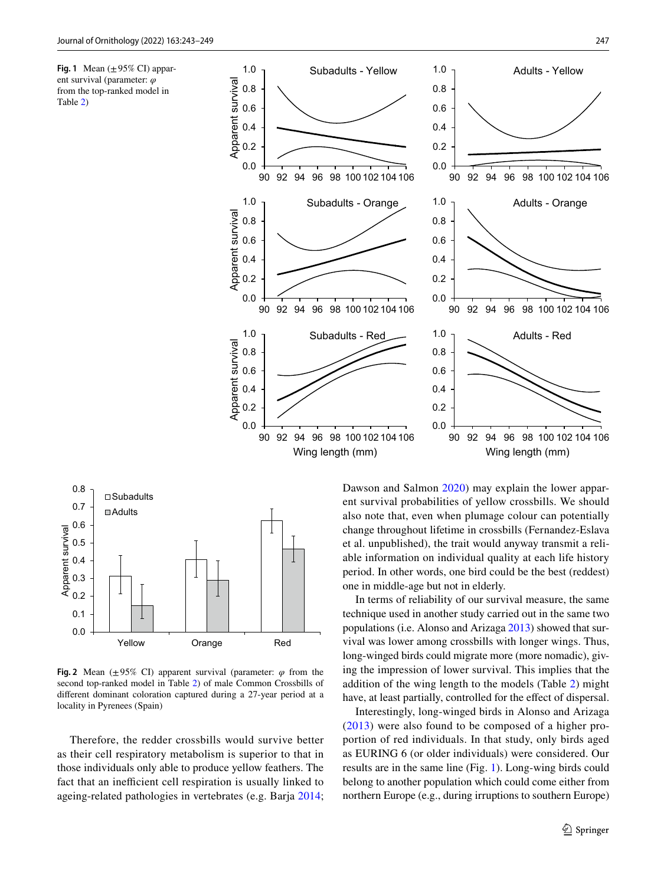<span id="page-4-0"></span>





<span id="page-4-1"></span>**Fig. 2** Mean ( $\pm 95\%$  CI) apparent survival (parameter:  $\varphi$  from the second top-ranked model in Table [2](#page-3-0)) of male Common Crossbills of diferent dominant coloration captured during a 27-year period at a locality in Pyrenees (Spain)

Therefore, the redder crossbills would survive better as their cell respiratory metabolism is superior to that in those individuals only able to produce yellow feathers. The fact that an inefficient cell respiration is usually linked to ageing-related pathologies in vertebrates (e.g. Barja [2014](#page-5-14); Dawson and Salmon [2020\)](#page-5-15) may explain the lower apparent survival probabilities of yellow crossbills. We should also note that, even when plumage colour can potentially change throughout lifetime in crossbills (Fernandez-Eslava et al. unpublished), the trait would anyway transmit a reliable information on individual quality at each life history period. In other words, one bird could be the best (reddest) one in middle-age but not in elderly.

In terms of reliability of our survival measure, the same technique used in another study carried out in the same two populations (i.e. Alonso and Arizaga [2013\)](#page-5-6) showed that survival was lower among crossbills with longer wings. Thus, long-winged birds could migrate more (more nomadic), giving the impression of lower survival. This implies that the addition of the wing length to the models (Table [2](#page-3-0)) might have, at least partially, controlled for the effect of dispersal.

Interestingly, long-winged birds in Alonso and Arizaga ([2013](#page-5-6)) were also found to be composed of a higher proportion of red individuals. In that study, only birds aged as EURING 6 (or older individuals) were considered. Our results are in the same line (Fig. [1](#page-4-0)). Long-wing birds could belong to another population which could come either from northern Europe (e.g., during irruptions to southern Europe)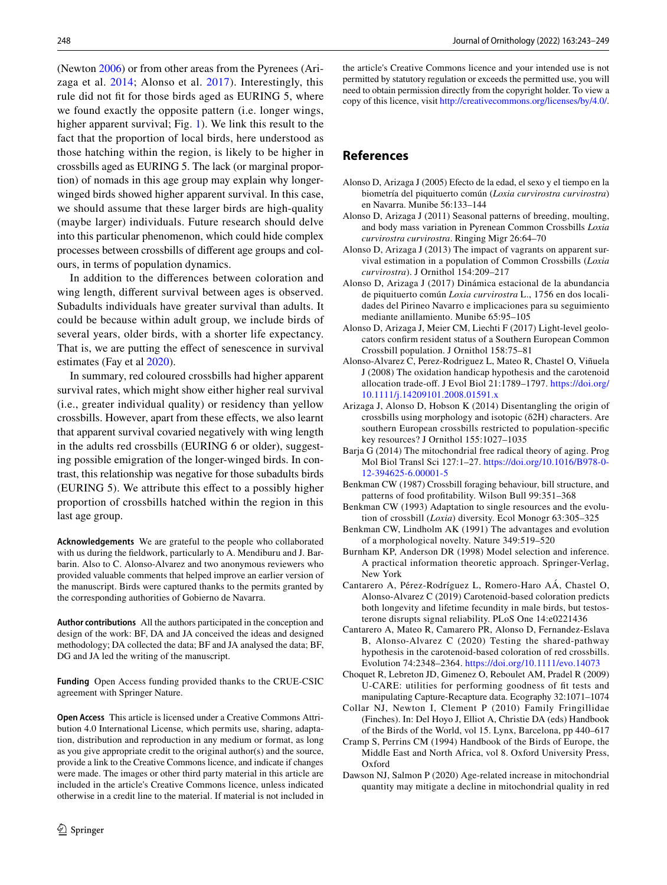(Newton [2006\)](#page-6-27) or from other areas from the Pyrenees (Arizaga et al. [2014](#page-5-16); Alonso et al. [2017](#page-5-17)). Interestingly, this rule did not ft for those birds aged as EURING 5, where we found exactly the opposite pattern (i.e. longer wings, higher apparent survival; Fig. [1\)](#page-4-0). We link this result to the fact that the proportion of local birds, here understood as those hatching within the region, is likely to be higher in crossbills aged as EURING 5. The lack (or marginal proportion) of nomads in this age group may explain why longerwinged birds showed higher apparent survival. In this case, we should assume that these larger birds are high-quality (maybe larger) individuals. Future research should delve into this particular phenomenon, which could hide complex processes between crossbills of diferent age groups and colours, in terms of population dynamics.

In addition to the diferences between coloration and wing length, diferent survival between ages is observed. Subadults individuals have greater survival than adults. It could be because within adult group, we include birds of several years, older birds, with a shorter life expectancy. That is, we are putting the efect of senescence in survival estimates (Fay et al [2020](#page-6-28)).

In summary, red coloured crossbills had higher apparent survival rates, which might show either higher real survival (i.e., greater individual quality) or residency than yellow crossbills. However, apart from these efects, we also learnt that apparent survival covaried negatively with wing length in the adults red crossbills (EURING 6 or older), suggesting possible emigration of the longer-winged birds. In contrast, this relationship was negative for those subadults birds (EURING 5). We attribute this efect to a possibly higher proportion of crossbills hatched within the region in this last age group.

**Acknowledgements** We are grateful to the people who collaborated with us during the feldwork, particularly to A. Mendiburu and J. Barbarin. Also to C. Alonso-Alvarez and two anonymous reviewers who provided valuable comments that helped improve an earlier version of the manuscript. Birds were captured thanks to the permits granted by the corresponding authorities of Gobierno de Navarra.

**Author contributions** All the authors participated in the conception and design of the work: BF, DA and JA conceived the ideas and designed methodology; DA collected the data; BF and JA analysed the data; BF, DG and JA led the writing of the manuscript.

**Funding** Open Access funding provided thanks to the CRUE-CSIC agreement with Springer Nature.

**Open Access** This article is licensed under a Creative Commons Attribution 4.0 International License, which permits use, sharing, adaptation, distribution and reproduction in any medium or format, as long as you give appropriate credit to the original author(s) and the source, provide a link to the Creative Commons licence, and indicate if changes were made. The images or other third party material in this article are included in the article's Creative Commons licence, unless indicated otherwise in a credit line to the material. If material is not included in the article's Creative Commons licence and your intended use is not permitted by statutory regulation or exceeds the permitted use, you will need to obtain permission directly from the copyright holder. To view a copy of this licence, visit<http://creativecommons.org/licenses/by/4.0/>.

# **References**

- <span id="page-5-9"></span>Alonso D, Arizaga J (2005) Efecto de la edad, el sexo y el tiempo en la biometría del piquituerto común (*Loxia curvirostra curvirostra*) en Navarra. Munibe 56:133–144
- <span id="page-5-7"></span>Alonso D, Arizaga J (2011) Seasonal patterns of breeding, moulting, and body mass variation in Pyrenean Common Crossbills *Loxia curvirostra curvirostra*. Ringing Migr 26:64–70
- <span id="page-5-6"></span>Alonso D, Arizaga J (2013) The impact of vagrants on apparent survival estimation in a population of Common Crossbills (*Loxia curvirostra*). J Ornithol 154:209–217
- <span id="page-5-8"></span>Alonso D, Arizaga J (2017) Dinámica estacional de la abundancia de piquituerto común *Loxia curvirostra* L., 1756 en dos localidades del Pirineo Navarro e implicaciones para su seguimiento mediante anillamiento. Munibe 65:95–105
- <span id="page-5-17"></span>Alonso D, Arizaga J, Meier CM, Liechti F (2017) Light-level geolocators confrm resident status of a Southern European Common Crossbill population. J Ornithol 158:75–81
- <span id="page-5-0"></span>Alonso-Alvarez C, Perez-Rodriguez L, Mateo R, Chastel O, Viñuela J (2008) The oxidation handicap hypothesis and the carotenoid allocation trade-of. J Evol Biol 21:1789–1797. [https://doi.org/](https://doi.org/10.1111/j.14209101.2008.01591.x) [10.1111/j.14209101.2008.01591.x](https://doi.org/10.1111/j.14209101.2008.01591.x)
- <span id="page-5-16"></span>Arizaga J, Alonso D, Hobson K (2014) Disentangling the origin of crossbills using morphology and isotopic (δ2H) characters. Are southern European crossbills restricted to population-specifc key resources? J Ornithol 155:1027–1035
- <span id="page-5-14"></span>Barja G (2014) The mitochondrial free radical theory of aging. Prog Mol Biol Transl Sci 127:1–27. [https://doi.org/10.1016/B978-0-](https://doi.org/10.1016/B978-0-12-394625-6.00001-5) [12-394625-6.00001-5](https://doi.org/10.1016/B978-0-12-394625-6.00001-5)
- <span id="page-5-2"></span>Benkman CW (1987) Crossbill foraging behaviour, bill structure, and patterns of food proftability. Wilson Bull 99:351–368
- <span id="page-5-3"></span>Benkman CW (1993) Adaptation to single resources and the evolution of crossbill (*Loxia*) diversity. Ecol Monogr 63:305–325
- <span id="page-5-4"></span>Benkman CW, Lindholm AK (1991) The advantages and evolution of a morphological novelty. Nature 349:519–520
- <span id="page-5-12"></span>Burnham KP, Anderson DR (1998) Model selection and inference. A practical information theoretic approach. Springer-Verlag, New York
- <span id="page-5-13"></span>Cantarero A, Pérez-Rodríguez L, Romero-Haro AÁ, Chastel O, Alonso-Alvarez C (2019) Carotenoid-based coloration predicts both longevity and lifetime fecundity in male birds, but testosterone disrupts signal reliability. PLoS One 14:e0221436
- <span id="page-5-10"></span>Cantarero A, Mateo R, Camarero PR, Alonso D, Fernandez-Eslava B, Alonso-Alvarez C (2020) Testing the shared-pathway hypothesis in the carotenoid-based coloration of red crossbills. Evolution 74:2348–2364. <https://doi.org/10.1111/evo.14073>
- <span id="page-5-11"></span>Choquet R, Lebreton JD, Gimenez O, Reboulet AM, Pradel R (2009) U-CARE: utilities for performing goodness of ft tests and manipulating Capture-Recapture data. Ecography 32:1071–1074
- <span id="page-5-1"></span>Collar NJ, Newton I, Clement P (2010) Family Fringillidae (Finches). In: Del Hoyo J, Elliot A, Christie DA (eds) Handbook of the Birds of the World, vol 15. Lynx, Barcelona, pp 440–617
- <span id="page-5-5"></span>Cramp S, Perrins CM (1994) Handbook of the Birds of Europe, the Middle East and North Africa, vol 8. Oxford University Press, Oxford
- <span id="page-5-15"></span>Dawson NJ, Salmon P (2020) Age-related increase in mitochondrial quantity may mitigate a decline in mitochondrial quality in red